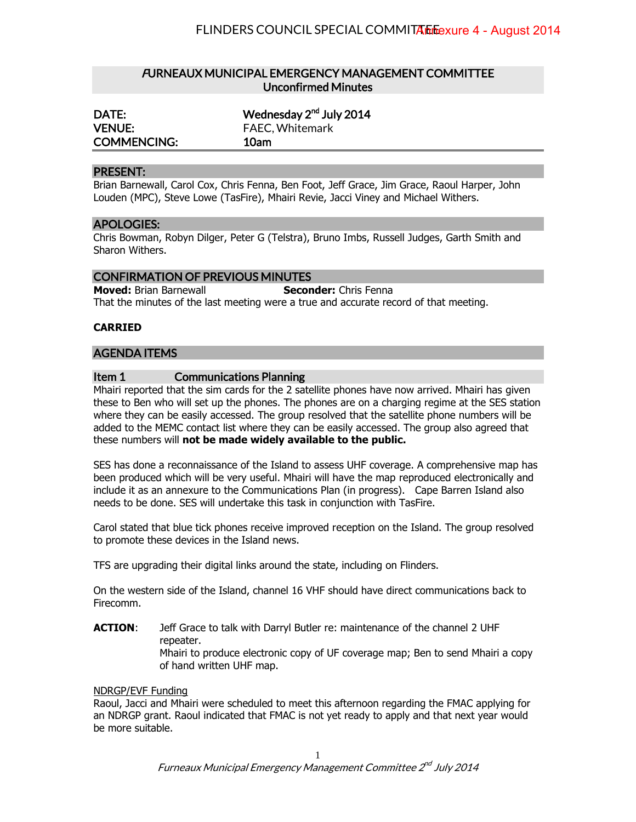# FURNEAUX MUNICIPAL EMERGENCY MANAGEMENT COMMITTEE Unconfirmed Minutes

| DATE:              | Wednesday 2 <sup>nd</sup> July 2014 |
|--------------------|-------------------------------------|
| <b>VENUE:</b>      | <b>FAEC, Whitemark</b>              |
| <b>COMMENCING:</b> | 10am                                |

## PRESENT:

Brian Barnewall, Carol Cox, Chris Fenna, Ben Foot, Jeff Grace, Jim Grace, Raoul Harper, John Louden (MPC), Steve Lowe (TasFire), Mhairi Revie, Jacci Viney and Michael Withers.

### APOLOGIES:

Chris Bowman, Robyn Dilger, Peter G (Telstra), Bruno Imbs, Russell Judges, Garth Smith and Sharon Withers.

# CONFIRMATION OF PREVIOUS MINUTES

**Moved:** Brian Barnewall **Seconder:** Chris Fenna That the minutes of the last meeting were a true and accurate record of that meeting.

## **CARRIED**

## AGENDA ITEMS

## Item 1 Communications Planning

Mhairi reported that the sim cards for the 2 satellite phones have now arrived. Mhairi has given these to Ben who will set up the phones. The phones are on a charging regime at the SES station where they can be easily accessed. The group resolved that the satellite phone numbers will be added to the MEMC contact list where they can be easily accessed. The group also agreed that these numbers will **not be made widely available to the public.**

SES has done a reconnaissance of the Island to assess UHF coverage. A comprehensive map has been produced which will be very useful. Mhairi will have the map reproduced electronically and include it as an annexure to the Communications Plan (in progress). Cape Barren Island also needs to be done. SES will undertake this task in conjunction with TasFire.

Carol stated that blue tick phones receive improved reception on the Island. The group resolved to promote these devices in the Island news.

TFS are upgrading their digital links around the state, including on Flinders.

On the western side of the Island, channel 16 VHF should have direct communications back to Firecomm.

**ACTION:** Jeff Grace to talk with Darryl Butler re: maintenance of the channel 2 UHF repeater. Mhairi to produce electronic copy of UF coverage map; Ben to send Mhairi a copy of hand written UHF map.

### NDRGP/EVF Funding

Raoul, Jacci and Mhairi were scheduled to meet this afternoon regarding the FMAC applying for an NDRGP grant. Raoul indicated that FMAC is not yet ready to apply and that next year would be more suitable.